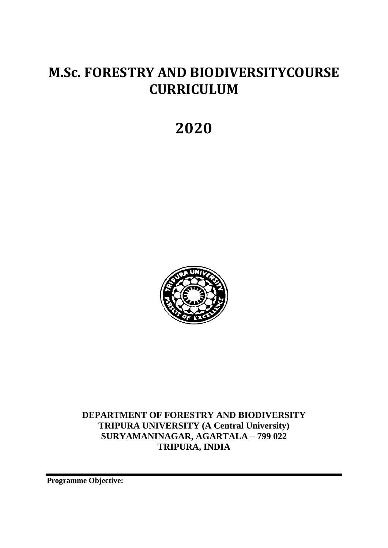# **M.Sc. FORESTRY AND BIODIVERSITYCOURSE CURRICULUM**

# **2020**



**DEPARTMENT OF FORESTRY AND BIODIVERSITY TRIPURA UNIVERSITY (A Central University) SURYAMANINAGAR, AGARTALA – 799 022 TRIPURA, INDIA**

**Programme Objective:**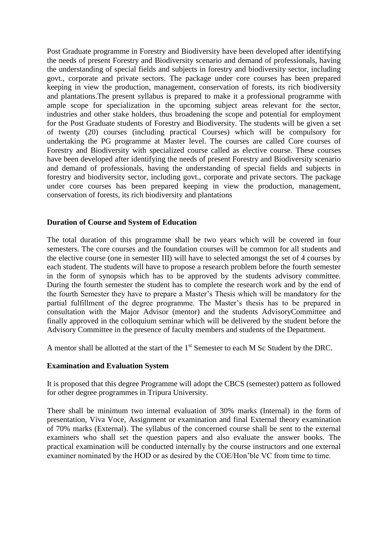Post Graduate programme in Forestry and Biodiversity have been developed after identifying the needs of present Forestry and Biodiversity scenario and demand of professionals, having the understanding of special fields and subjects in forestry and biodiversity sector, including govt., corporate and private sectors. The package under core courses has been prepared keeping in view the production, management, conservation of forests, its rich biodiversity and plantations.The present syllabus is prepared to make it a professional programme with ample scope for specialization in the upcoming subject areas relevant for the sector, industries and other stake holders, thus broadening the scope and potential for employment for the Post Graduate students of Forestry and Biodiversity. The students will be given a set of twenty (20) courses (including practical Courses) which will be compulsory for undertaking the PG programme at Master level. The courses are called Core courses of Forestry and Biodiversity with specialized course called as elective course. These courses have been developed after identifying the needs of present Forestry and Biodiversity scenario and demand of professionals, having the understanding of special fields and subjects in forestry and biodiversity sector, including govt., corporate and private sectors. The package under core courses has been prepared keeping in view the production, management, conservation of forests, its rich biodiversity and plantations

#### **Duration of Course and System of Education**

The total duration of this programme shall be two years which will be covered in four semesters. The core courses and the foundation courses will be common for all students and the elective course (one in semester III) will have to selected amongst the set of 4 courses by each student. The students will have to propose a research problem before the fourth semester in the form of synopsis which has to be approved by the students advisory committee. During the fourth semester the student has to complete the research work and by the end of the fourth Semester they have to prepare a Master's Thesis which will be mandatory for the partial fulfillment of the degree programme. The Master's thesis has to be prepared in consultation with the Major Advisor (mentor) and the students AdvisoryCommittee and finally approved in the colloquium seminar which will be delivered by the student before the Advisory Committee in the presence of faculty members and students of the Department.

A mentor shall be allotted at the start of the 1<sup>st</sup> Semester to each M Sc Student by the DRC.

#### **Examination and Evaluation System**

It is proposed that this degree Programme will adopt the CBCS (semester) pattern as followed for other degree programmes in Tripura University.

There shall be minimum two internal evaluation of 30% marks (Internal) in the form of presentation, Viva Voce, Assignment or examination and final External theory examination of 70% marks (External). The syllabus of the concerned course shall be sent to the external examiners who shall set the question papers and also evaluate the answer books. The practical examination will be conducted internally by the course instructors and one external examiner nominated by the HOD or as desired by the COE/Hon'ble VC from time to time.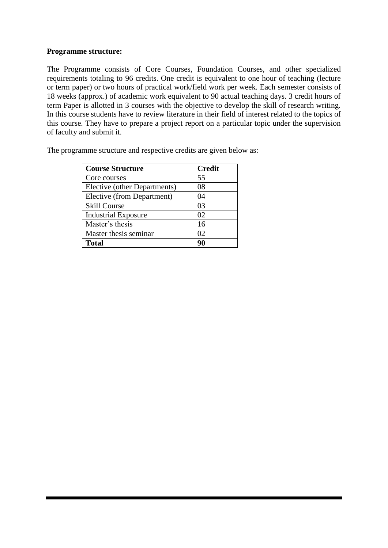#### **Programme structure:**

The Programme consists of Core Courses, Foundation Courses, and other specialized requirements totaling to 96 credits. One credit is equivalent to one hour of teaching (lecture or term paper) or two hours of practical work/field work per week. Each semester consists of 18 weeks (approx.) of academic work equivalent to 90 actual teaching days. 3 credit hours of term Paper is allotted in 3 courses with the objective to develop the skill of research writing. In this course students have to review literature in their field of interest related to the topics of this course. They have to prepare a project report on a particular topic under the supervision of faculty and submit it.

| <b>Course Structure</b>      | <b>Credit</b> |
|------------------------------|---------------|
| Core courses                 | 55            |
| Elective (other Departments) | 08            |
| Elective (from Department)   | 04            |
| <b>Skill Course</b>          | 03            |
| <b>Industrial Exposure</b>   | 02            |
| Master's thesis              | 16            |
| Master thesis seminar        | 02            |
| <b>Total</b>                 | 90            |

The programme structure and respective credits are given below as: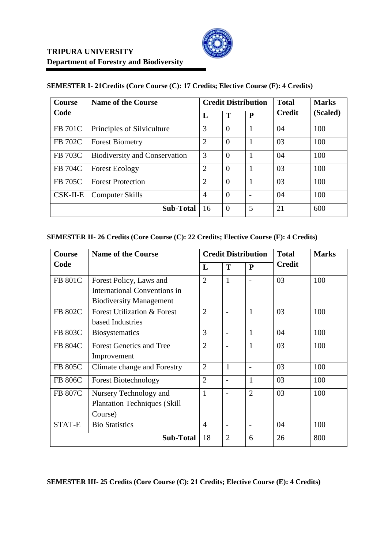| <b>Course</b>  | <b>Name of the Course</b>            | <b>Credit Distribution</b> |          |                          | <b>Total</b>  | <b>Marks</b> |
|----------------|--------------------------------------|----------------------------|----------|--------------------------|---------------|--------------|
| Code           |                                      | L                          | T        | $\mathbf{P}$             | <b>Credit</b> | (Scaled)     |
| <b>FB 701C</b> | Principles of Silviculture           | 3                          | $\Omega$ | 1                        | 04            | 100          |
| FB 702C        | <b>Forest Biometry</b>               | $\overline{2}$             | $\Omega$ | 1                        | 03            | 100          |
| <b>FB 703C</b> | <b>Biodiversity and Conservation</b> | 3                          | $\Omega$ | 1                        | 04            | 100          |
| <b>FB 704C</b> | <b>Forest Ecology</b>                | 2                          | $\Omega$ | $\mathbf{1}$             | 03            | 100          |
| <b>FB 705C</b> | <b>Forest Protection</b>             | $\overline{2}$             | $\Omega$ | $\mathbf{1}$             | 03            | 100          |
| $CSK-II-E$     | Computer Skills                      | $\overline{A}$             | $\Omega$ | $\overline{\phantom{a}}$ | 04            | 100          |
|                | <b>Sub-Total</b>                     | 16                         | $\Omega$ | 5                        | 21            | 600          |

# **SEMESTER I- 21Credits (Core Course (C): 17 Credits; Elective Course (F): 4 Credits)**

# **SEMESTER II- 26 Credits (Core Course (C): 22 Credits; Elective Course (F): 4 Credits)**

| Course         | <b>Name of the Course</b>              | <b>Credit Distribution</b> |                          |                          | <b>Total</b>  | <b>Marks</b> |
|----------------|----------------------------------------|----------------------------|--------------------------|--------------------------|---------------|--------------|
| Code           |                                        | L                          | T                        | $\mathbf{P}$             | <b>Credit</b> |              |
| <b>FB 801C</b> | Forest Policy, Laws and                | $\overline{2}$             | 1                        | $\overline{\phantom{0}}$ | 03            | 100          |
|                | International Conventions in           |                            |                          |                          |               |              |
|                | <b>Biodiversity Management</b>         |                            |                          |                          |               |              |
| FB 802C        | <b>Forest Utilization &amp; Forest</b> | $\overline{2}$             |                          | $\mathbf{1}$             | 03            | 100          |
|                | based Industries                       |                            |                          |                          |               |              |
| FB 803C        | <b>Biosystematics</b>                  | 3                          |                          | $\mathbf{1}$             | 04            | 100          |
| FB 804C        | <b>Forest Genetics and Tree</b>        | $\overline{2}$             |                          | 1                        | 03            | 100          |
|                | Improvement                            |                            |                          |                          |               |              |
| <b>FB 805C</b> | Climate change and Forestry            | $\overline{2}$             |                          |                          | 03            | 100          |
| <b>FB 806C</b> | <b>Forest Biotechnology</b>            | $\overline{2}$             |                          | 1                        | 03            | 100          |
| <b>FB 807C</b> | Nursery Technology and                 | 1                          |                          | $\overline{2}$           | 03            | 100          |
|                | <b>Plantation Techniques (Skill</b>    |                            |                          |                          |               |              |
|                | Course)                                |                            |                          |                          |               |              |
| STAT-E         | <b>Bio Statistics</b>                  | 4                          | $\overline{\phantom{0}}$ | $\overline{a}$           | 04            | 100          |
|                | <b>Sub-Total</b>                       | 18                         | $\overline{2}$           | 6                        | 26            | 800          |

#### **SEMESTER III- 25 Credits (Core Course (C): 21 Credits; Elective Course (E): 4 Credits)**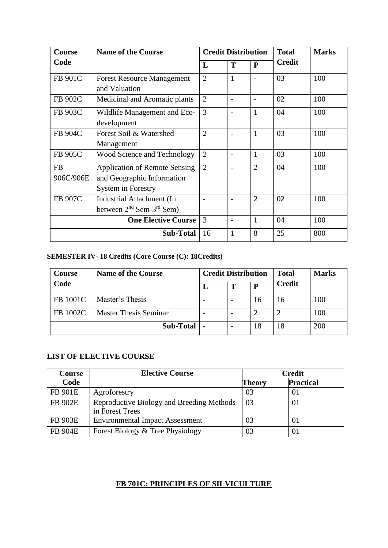| <b>Course</b>   | <b>Name of the Course</b>                                                                | <b>Credit Distribution</b> |              |                | <b>Total</b>  | <b>Marks</b> |
|-----------------|------------------------------------------------------------------------------------------|----------------------------|--------------|----------------|---------------|--------------|
| Code            |                                                                                          | L                          | T            | $\mathbf{P}$   | <b>Credit</b> |              |
| FB 901C         | <b>Forest Resource Management</b><br>and Valuation                                       | $\overline{2}$             | $\mathbf{1}$ |                | 03            | 100          |
| FB 902C         | Medicinal and Aromatic plants                                                            | $\overline{2}$             |              |                | 02            | 100          |
| FB 903C         | Wildlife Management and Eco-<br>development                                              | 3                          |              | $\mathbf{1}$   | 04            | 100          |
| FB 904C         | Forest Soil & Watershed<br>Management                                                    | $\overline{2}$             |              | $\mathbf{1}$   | 03            | 100          |
| FB 905C         | Wood Science and Technology                                                              | $\overline{2}$             |              | $\mathbf{1}$   | 03            | 100          |
| FB<br>906C/906E | <b>Application of Remote Sensing</b><br>and Geographic Information<br>System in Forestry | $\overline{2}$             |              | $\overline{2}$ | 04            | 100          |
| FB 907C         | Industrial Attachment (In<br>between $2^{nd}$ Sem- $3^{rd}$ Sem)                         |                            |              | $\overline{2}$ | 02            | 100          |
|                 | <b>One Elective Course</b>                                                               | 3                          |              | 1              | 04            | 100          |
|                 | <b>Sub-Total</b>                                                                         | 16                         |              | 8              | 25            | 800          |

# **SEMESTER IV- 18 Credits (Core Course (C): 18Credits)**

| Course   | <b>Name of the Course</b>    | <b>Credit Distribution</b> |   |    | <b>Total</b>  | <b>Marks</b> |
|----------|------------------------------|----------------------------|---|----|---------------|--------------|
| Code     |                              |                            | т | P  | <b>Credit</b> |              |
| FB 1001C | Master's Thesis              |                            |   | 16 | 16            | 100          |
| FB 1002C | <b>Master Thesis Seminar</b> |                            |   |    |               | 100          |
|          | Sub-Total                    |                            |   | 18 | 18            | 200          |

# **LIST OF ELECTIVE COURSE**

| <b>Course</b>  | <b>Elective Course</b>                                       | <b>Credit</b>              |    |  |
|----------------|--------------------------------------------------------------|----------------------------|----|--|
| Code           |                                                              | <b>Practical</b><br>Theory |    |  |
| <b>FB 901E</b> | Agroforestry                                                 | 03                         | 01 |  |
| <b>FB 902E</b> | Reproductive Biology and Breeding Methods<br>in Forest Trees | -03                        | 01 |  |
| <b>FB 903E</b> | <b>Environmental Impact Assessment</b>                       | 03                         | 01 |  |
| <b>FB 904E</b> | Forest Biology & Tree Physiology                             | 03                         | 01 |  |

# **FB 701C: PRINCIPLES OF SILVICULTURE**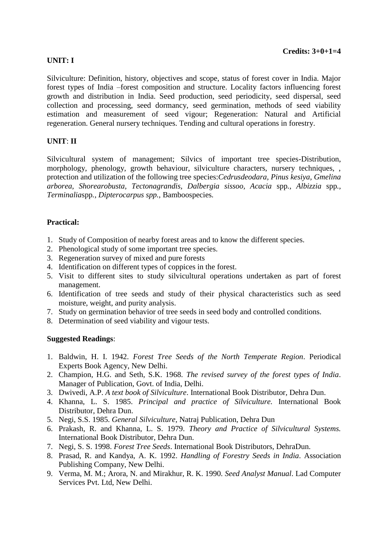## **UNIT: I**

Silviculture: Definition, history, objectives and scope, status of forest cover in India. Major forest types of India –forest composition and structure. Locality factors influencing forest growth and distribution in India. Seed production, seed periodicity, seed dispersal, seed collection and processing, seed dormancy, seed germination, methods of seed viability estimation and measurement of seed vigour; Regeneration: Natural and Artificial regeneration. General nursery techniques. Tending and cultural operations in forestry.

# **UNIT**: **II**

Silvicultural system of management; Silvics of important tree species-Distribution, morphology, phenology, growth behaviour, silviculture characters, nursery techniques, , protection and utilization of the following tree species:*Cedrusdeodara, Pinus kesiya, Gmelina arborea, Shorearobusta, Tectonagrandis, Dalbergia sissoo, Acacia* spp*., Albizzia* spp*., Terminalia*spp*., Dipterocarpus spp.,* Bamboospecies*.*

#### **Practical:**

- 1. Study of Composition of nearby forest areas and to know the different species.
- 2. Phenological study of some important tree species.
- 3. Regeneration survey of mixed and pure forests
- 4. Identification on different types of coppices in the forest.
- 5. Visit to different sites to study silvicultural operations undertaken as part of forest management.
- 6. Identification of tree seeds and study of their physical characteristics such as seed moisture, weight, and purity analysis.
- 7. Study on germination behavior of tree seeds in seed body and controlled conditions.
- 8. Determination of seed viability and vigour tests.

#### **Suggested Readings**:

- 1. Baldwin, H. I. 1942. *Forest Tree Seeds of the North Temperate Region*. Periodical Experts Book Agency, New Delhi.
- 2. Champion, H.G. and Seth, S.K. 1968. *The revised survey of the forest types of India*. Manager of Publication, Govt. of India, Delhi.
- 3. Dwivedi, A.P. *A text book of Silviculture*. International Book Distributor, Dehra Dun.
- 4. Khanna, L. S. 1985. *Principal and practice of Silviculture.* International Book Distributor, Dehra Dun.
- 5. Negi, S.S. 1985. *General Silviculture*, Natraj Publication, Dehra Dun
- 6. Prakash, R. and Khanna, L. S. 1979. *Theory and Practice of Silvicultural Systems.* International Book Distributor, Dehra Dun.
- 7. Negi, S. S. 1998. *Forest Tree Seeds*. International Book Distributors, DehraDun.
- 8. Prasad, R. and Kandya, A. K. 1992. *Handling of Forestry Seeds in India*. Association Publishing Company, New Delhi.
- 9. Verma, M. M.; Arora, N. and Mirakhur, R. K. 1990. *Seed Analyst Manual*. Lad Computer Services Pvt. Ltd, New Delhi.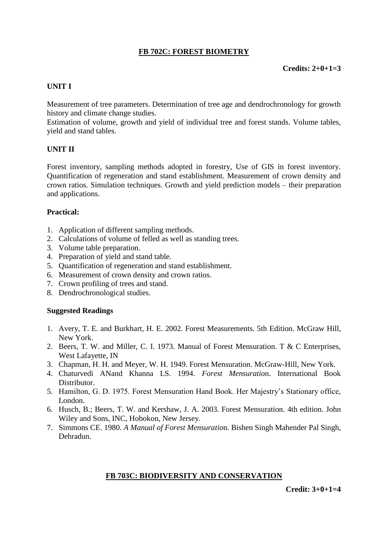# **FB 702C: FOREST BIOMETRY**

## **UNIT I**

Measurement of tree parameters. Determination of tree age and dendrochronology for growth history and climate change studies.

Estimation of volume, growth and yield of individual tree and forest stands. Volume tables, yield and stand tables.

## **UNIT II**

Forest inventory, sampling methods adopted in forestry, Use of GIS in forest inventory. Quantification of regeneration and stand establishment. Measurement of crown density and crown ratios. Simulation techniques. Growth and yield prediction models – their preparation and applications.

#### **Practical:**

- 1. Application of different sampling methods.
- 2. Calculations of volume of felled as well as standing trees.
- 3. Volume table preparation.
- 4. Preparation of yield and stand table.
- 5. Quantification of regeneration and stand establishment.
- 6. Measurement of crown density and crown ratios.
- 7. Crown profiling of trees and stand.
- 8. Dendrochronological studies.

#### **Suggested Readings**

- 1. Avery, T. E. and Burkhart, H. E. 2002. Forest Measurements. 5th Edition. McGraw Hill, New York.
- 2. Beers, T. W. and Miller, C. I. 1973. Manual of Forest Mensuration. T & C Enterprises, West Lafayette, IN
- 3. Chapman, H. H. and Meyer, W. H. 1949. Forest Mensuration. McGraw-Hill, New York.
- 4. Chaturvedi ANand Khanna LS. 1994. *Forest Mensuratio*n. International Book Distributor.
- 5. Hamilton, G. D. 1975. Forest Mensuration Hand Book. Her Majestry's Stationary office, London.
- 6. Husch, B.; Beers, T. W. and Kershaw, J. A. 2003. Forest Mensuration. 4th edition. John Wiley and Sons, INC, Hobokon, New Jersey.
- 7. Simmons CE. 1980. *A Manual of Forest Mensuratio*n. Bishen Singh Mahender Pal Singh, Dehradun.

#### **FB 703C: BIODIVERSITY AND CONSERVATION**

**Credit: 3+0+1=4**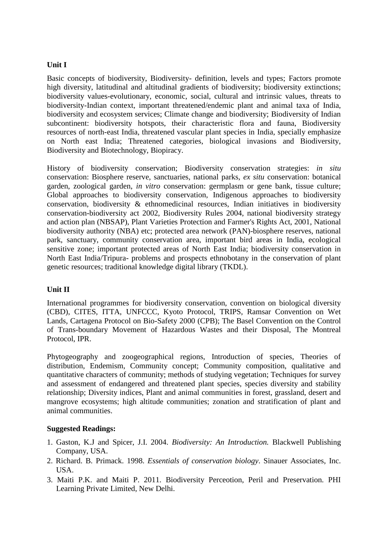#### **Unit I**

Basic concepts of biodiversity, Biodiversity- definition, levels and types; Factors promote high diversity, latitudinal and altitudinal gradients of biodiversity; biodiversity extinctions; biodiversity values-evolutionary, economic, social, cultural and intrinsic values, threats to biodiversity-Indian context, important threatened/endemic plant and animal taxa of India, biodiversity and ecosystem services; Climate change and biodiversity; Biodiversity of Indian subcontinent: biodiversity hotspots, their characteristic flora and fauna, Biodiversity resources of north-east India, threatened vascular plant species in India, specially emphasize on North east India; Threatened categories, biological invasions and Biodiversity, Biodiversity and Biotechnology, Biopiracy.

History of biodiversity conservation; Biodiversity conservation strategies: *in situ*  conservation: Biosphere reserve, sanctuaries, national parks, *ex situ* conservation: botanical garden, zoological garden, *in vitro* conservation: germplasm or gene bank, tissue culture; Global approaches to biodiversity conservation, Indigenous approaches to biodiversity conservation, biodiversity & ethnomedicinal resources, Indian initiatives in biodiversity conservation-biodiversity act 2002, Biodiversity Rules 2004, national biodiversity strategy and action plan (NBSAP), Plant Varieties Protection and Farmer's Rights Act, 2001, National biodiversity authority (NBA) etc; protected area network (PAN)-biosphere reserves, national park, sanctuary, community conservation area, important bird areas in India, ecological sensitive zone; important protected areas of North East India; biodiversity conservation in North East India/Tripura- problems and prospects ethnobotany in the conservation of plant genetic resources; traditional knowledge digital library (TKDL).

#### **Unit II**

International programmes for biodiversity conservation, convention on biological diversity (CBD), CITES, ITTA, UNFCCC, Kyoto Protocol, TRIPS, Ramsar Convention on Wet Lands, Cartagena Protocol on Bio-Safety 2000 (CPB); The Basel Convention on the Control of Trans-boundary Movement of Hazardous Wastes and their Disposal, The Montreal Protocol, IPR.

Phytogeography and zoogeographical regions, Introduction of species, Theories of distribution, Endemism, Community concept; Community composition, qualitative and quantitative characters of community; methods of studying vegetation; Techniques for survey and assessment of endangered and threatened plant species, species diversity and stability relationship; Diversity indices, Plant and animal communities in forest, grassland, desert and mangrove ecosystems; high altitude communities; zonation and stratification of plant and animal communities.

#### **Suggested Readings:**

- 1. Gaston, K.J and Spicer, J.I. 2004. *Biodiversity: An Introduction.* Blackwell Publishing Company, USA.
- 2. Richard. B. Primack. 1998. *Essentials of conservation biology*. Sinauer Associates, Inc. USA.
- 3. Maiti P.K. and Maiti P. 2011. Biodiversity Perceotion, Peril and Preservation. PHI Learning Private Limited, New Delhi.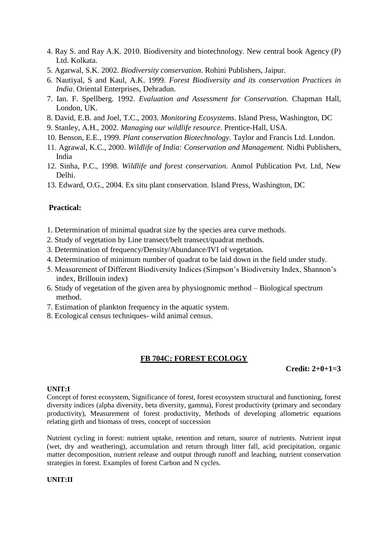- 4. Ray S. and Ray A.K. 2010. Biodiversity and biotechnology. New central book Agency (P) Ltd. Kolkata.
- 5. Agarwal, S.K. 2002. *Biodiversity conservation*. Rohini Publishers, Jaipur.
- 6. Nautiyal, S and Kaul, A.K. 1999. *Forest Biodiversity and its conservation Practices in India*. Oriental Enterprises, Dehradun.
- 7. Ian. F. Spellberg. 1992. *Evaluation and Assessment for Conservation.* Chapman Hall, London, UK.
- 8. David, E.B. and Joel, T.C., 2003. *Monitoring Ecosystems*. Island Press, Washington, DC
- 9. Stanley, A.H., 2002. *Managing our wildlife resource*. Prentice-Hall, USA.
- 10. Benson, E.E., 1999. *Plant conservation Biotechnology*. Taylor and Francis Ltd. London.
- 11. Agrawal, K.C., 2000. *Wildlife of India: Conservation and Management.* Nidhi Publishers, India
- 12. Sinha, P.C., 1998. *Wildlife and forest conservation*. Anmol Publication Pvt. Ltd, New Delhi.
- 13. Edward, O.G., 2004*.* Ex situ plant conservation. Island Press, Washington, DC

#### **Practical:**

- 1. Determination of minimal quadrat size by the species area curve methods.
- 2. Study of vegetation by Line transect/belt transect/quadrat methods.
- 3. Determination of frequency/Density/Abundance/IVI of vegetation.
- 4. Determination of minimum number of quadrat to be laid down in the field under study.
- 5. Measurement of Different Biodiversity Indices (Simpson's Biodiversity Index, Shannon's index, Brillouin index)
- 6. Study of vegetation of the given area by physiognomic method Biological spectrum method.
- 7. Estimation of plankton frequency in the aquatic system.
- 8. Ecological census techniques- wild animal census.

#### **FB 704C: FOREST ECOLOGY**

**Credit: 2+0+1=3**

#### **UNIT:I**

Concept of forest ecosystem, Significance of forest, forest ecosystem structural and functioning, forest diversity indices (alpha diversity, beta diversity, gamma), Forest productivity (primary and secondary productivity), Measurement of forest productivity, Methods of developing allometric equations relating girth and biomass of trees, concept of succession

Nutrient cycling in forest: nutrient uptake, retention and return, source of nutrients. Nutrient input (wet, dry and weathering), accumulation and return through litter fall, acid precipitation, organic matter decomposition, nutrient release and output through runoff and leaching, nutrient conservation strategies in forest. Examples of forest Carbon and N cycles.

#### **UNIT:II**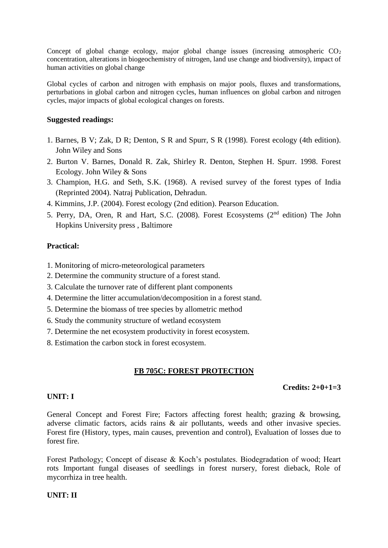Concept of global change ecology, major global change issues (increasing atmospheric  $CO<sub>2</sub>$ ) concentration, alterations in biogeochemistry of nitrogen, land use change and biodiversity), impact of human activities on global change

Global cycles of carbon and nitrogen with emphasis on major pools, fluxes and transformations, perturbations in global carbon and nitrogen cycles, human influences on global carbon and nitrogen cycles, major impacts of global ecological changes on forests.

#### **Suggested readings:**

- 1. Barnes, B V; Zak, D R; Denton, S R and Spurr, S R (1998). Forest ecology (4th edition). John Wiley and Sons
- 2. Burton V. Barnes, Donald R. Zak, Shirley R. Denton, Stephen H. Spurr. 1998. Forest Ecology. John Wiley & Sons
- 3. Champion, H.G. and Seth, S.K. (1968). A revised survey of the forest types of India (Reprinted 2004). Natraj Publication, Dehradun.
- 4. Kimmins, J.P. (2004). Forest ecology (2nd edition). Pearson Education.
- 5. Perry, DA, Oren, R and Hart, S.C. (2008). Forest Ecosystems (2nd edition) The John Hopkins University press , Baltimore

## **Practical:**

- 1. Monitoring of micro-meteorological parameters
- 2. Determine the community structure of a forest stand.
- 3. Calculate the turnover rate of different plant components
- 4. Determine the litter accumulation/decomposition in a forest stand.
- 5. Determine the biomass of tree species by allometric method
- 6. Study the community structure of wetland ecosystem
- 7. Determine the net ecosystem productivity in forest ecosystem.
- 8. Estimation the carbon stock in forest ecosystem.

# **FB 705C: FOREST PROTECTION**

## **Credits: 2+0+1=3**

#### **UNIT: I**

General Concept and Forest Fire; Factors affecting forest health; grazing & browsing, adverse climatic factors, acids rains & air pollutants, weeds and other invasive species. Forest fire (History, types, main causes, prevention and control), Evaluation of losses due to forest fire.

Forest Pathology; Concept of disease & Koch's postulates. Biodegradation of wood; Heart rots Important fungal diseases of seedlings in forest nursery, forest dieback, Role of mycorrhiza in tree health.

## **UNIT: II**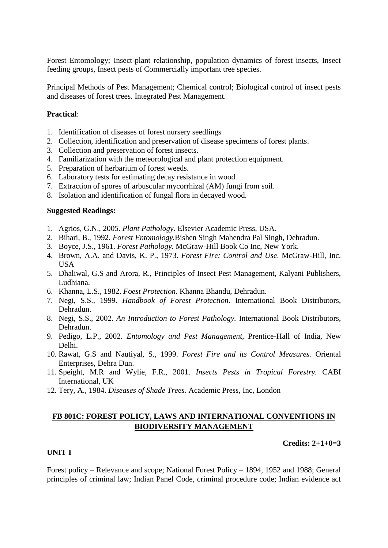Forest Entomology; Insect-plant relationship, population dynamics of forest insects, Insect feeding groups, Insect pests of Commercially important tree species.

Principal Methods of Pest Management; Chemical control; Biological control of insect pests and diseases of forest trees. Integrated Pest Management.

#### **Practical**:

- 1. Identification of diseases of forest nursery seedlings
- 2. Collection, identification and preservation of disease specimens of forest plants.
- 3. Collection and preservation of forest insects.
- 4. Familiarization with the meteorological and plant protection equipment.
- 5. Preparation of herbarium of forest weeds.
- 6. Laboratory tests for estimating decay resistance in wood.
- 7. Extraction of spores of arbuscular mycorrhizal (AM) fungi from soil.
- 8. Isolation and identification of fungal flora in decayed wood.

## **Suggested Readings:**

- 1. Agrios, G.N., 2005. *Plant Pathology.* Elsevier Academic Press, USA.
- 2. Bihari, B., 1992. *Forest Entomology.*Bishen Singh Mahendra Pal Singh, Dehradun.
- 3. Boyce, J.S., 1961. *Forest Pathology.* McGraw-Hill Book Co Inc, New York.
- 4. Brown, A.A. and Davis, K. P., 1973. *Forest Fire: Control and Use*. McGraw-Hill, Inc. USA
- 5. Dhaliwal, G.S and Arora, R., Principles of Insect Pest Management, Kalyani Publishers, Ludhiana.
- 6. Khanna, L.S., 1982. *Foest Protection.* Khanna Bhandu, Dehradun.
- 7. Negi, S.S., 1999. *Handbook of Forest Protection.* International Book Distributors, Dehradun.
- 8. Negi, S.S., 2002. *An Introduction to Forest Pathology.* International Book Distributors, Dehradun.
- 9. Pedigo, L.P., 2002. *Entomology and Pest Management*, Prentice-Hall of India, New Delhi.
- 10. Rawat, G.S and Nautiyal, S., 1999. *Forest Fire and its Control Measures.* Oriental Enterprises, Dehra Dun.
- 11. Speight, M.R and Wylie, F.R., 2001. *Insects Pests in Tropical Forestry.* CABI International, UK
- 12. Tery, A., 1984. *Diseases of Shade Trees.* Academic Press, Inc, London

# **FB 801C: FOREST POLICY, LAWS AND INTERNATIONAL CONVENTIONS IN BIODIVERSITY MANAGEMENT**

#### **Credits: 2+1+0=3**

#### **UNIT I**

Forest policy – Relevance and scope; National Forest Policy – 1894, 1952 and 1988; General principles of criminal law; Indian Panel Code, criminal procedure code; Indian evidence act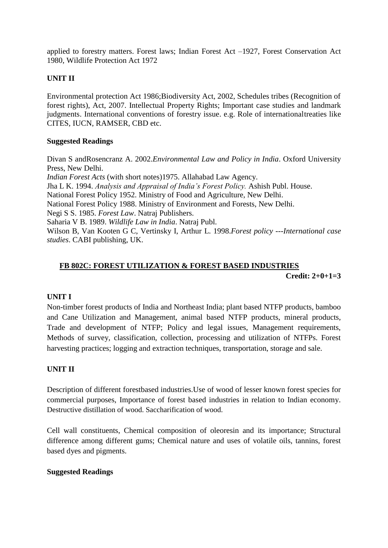applied to forestry matters. Forest laws; Indian Forest Act –1927, Forest Conservation Act 1980, Wildlife Protection Act 1972

# **UNIT II**

Environmental protection Act 1986;Biodiversity Act, 2002, Schedules tribes (Recognition of forest rights), Act, 2007. Intellectual Property Rights; Important case studies and landmark judgments. International conventions of forestry issue. e.g. Role of internationaltreaties like CITES, IUCN, RAMSER, CBD etc.

#### **Suggested Readings**

Divan S andRosencranz A. 2002.*Environmental Law and Policy in India*. Oxford University Press, New Delhi. *Indian Forest Acts* (with short notes)1975. Allahabad Law Agency. Jha L K. 1994. *Analysis and Appraisal of India's Forest Policy.* Ashish Publ. House. National Forest Policy 1952. Ministry of Food and Agriculture, New Delhi. National Forest Policy 1988. Ministry of Environment and Forests, New Delhi. Negi S S. 1985. *Forest Law*. Natraj Publishers. Saharia V B. 1989. *Wildlife Law in India*. Natraj Publ. Wilson B, Van Kooten G C, Vertinsky I, Arthur L. 1998.*Forest policy ---International case studies*. CABI publishing, UK.

## **FB 802C: FOREST UTILIZATION & FOREST BASED INDUSTRIES**

**Credit: 2+0+1=3**

## **UNIT I**

Non-timber forest products of India and Northeast India; plant based NTFP products, bamboo and Cane Utilization and Management, animal based NTFP products, mineral products, Trade and development of NTFP; Policy and legal issues, Management requirements, Methods of survey, classification, collection, processing and utilization of NTFPs. Forest harvesting practices; logging and extraction techniques, transportation, storage and sale.

## **UNIT II**

Description of different forestbased industries.Use of wood of lesser known forest species for commercial purposes, Importance of forest based industries in relation to Indian economy. Destructive distillation of wood. Saccharification of wood.

Cell wall constituents, Chemical composition of oleoresin and its importance; Structural difference among different gums; Chemical nature and uses of volatile oils, tannins, forest based dyes and pigments.

## **Suggested Readings**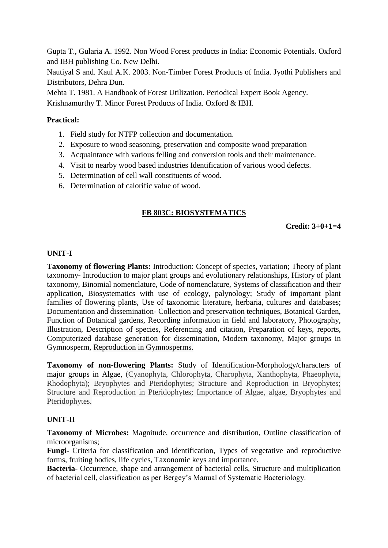Gupta T., Gularia A. 1992. Non Wood Forest products in India: Economic Potentials. Oxford and IBH publishing Co. New Delhi.

Nautiyal S and. Kaul A.K. 2003. Non-Timber Forest Products of India. Jyothi Publishers and Distributors, Dehra Dun.

Mehta T. 1981. A Handbook of Forest Utilization. Periodical Expert Book Agency.

Krishnamurthy T. Minor Forest Products of India. Oxford & IBH.

#### **Practical:**

- 1. Field study for NTFP collection and documentation.
- 2. Exposure to wood seasoning, preservation and composite wood preparation
- 3. Acquaintance with various felling and conversion tools and their maintenance.
- 4. Visit to nearby wood based industries Identification of various wood defects.
- 5. Determination of cell wall constituents of wood.
- 6. Determination of calorific value of wood.

## **FB 803C: BIOSYSTEMATICS**

**Credit: 3+0+1=4**

#### **UNIT-I**

**Taxonomy of flowering Plants:** Introduction: Concept of species, variation; Theory of plant taxonomy- Introduction to major plant groups and evolutionary relationships, History of plant taxonomy, Binomial nomenclature, Code of nomenclature, Systems of classification and their application, Biosystematics with use of ecology, palynology; Study of important plant families of flowering plants, Use of taxonomic literature, herbaria, cultures and databases; Documentation and dissemination- Collection and preservation techniques, Botanical Garden, Function of Botanical gardens, Recording information in field and laboratory, Photography, Illustration, Description of species, Referencing and citation, Preparation of keys, reports, Computerized database generation for dissemination, Modern taxonomy, Major groups in Gymnosperm, Reproduction in Gymnosperms.

**Taxonomy of non-flowering Plants:** Study of Identification-Morphology/characters of major groups in Algae, (Cyanophyta, Chlorophyta, Charophyta, Xanthophyta, Phaeophyta, Rhodophyta); Bryophytes and Pteridophytes; Structure and Reproduction in Bryophytes; Structure and Reproduction in Pteridophytes; Importance of Algae, algae, Bryophytes and Pteridophytes.

#### **UNIT-II**

**Taxonomy of Microbes:** Magnitude, occurrence and distribution, Outline classification of microorganisms;

**Fungi-** Criteria for classification and identification, Types of vegetative and reproductive forms, fruiting bodies, life cycles, Taxonomic keys and importance.

**Bacteria-** Occurrence, shape and arrangement of bacterial cells, Structure and multiplication of bacterial cell, classification as per Bergey's Manual of Systematic Bacteriology.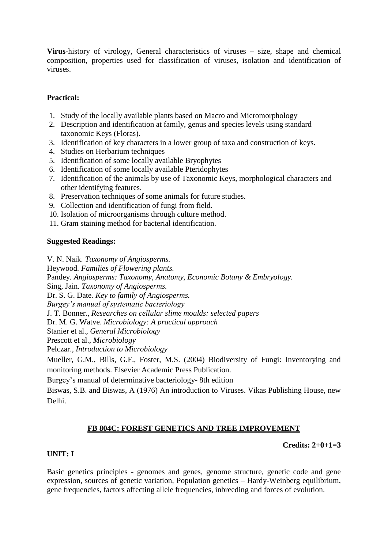**Virus**-history of virology, General characteristics of viruses – size, shape and chemical composition, properties used for classification of viruses, isolation and identification of viruses.

# **Practical:**

- 1. Study of the locally available plants based on Macro and Micromorphology
- 2. Description and identification at family, genus and species levels using standard taxonomic Keys (Floras).
- 3. Identification of key characters in a lower group of taxa and construction of keys.
- 4. Studies on Herbarium techniques
- 5. Identification of some locally available Bryophytes
- 6. Identification of some locally available Pteridophytes
- 7. Identification of the animals by use of Taxonomic Keys, morphological characters and other identifying features.
- 8. Preservation techniques of some animals for future studies.
- 9. Collection and identification of fungi from field.
- 10. Isolation of microorganisms through culture method.
- 11. Gram staining method for bacterial identification.

#### **Suggested Readings:**

V. N. Naik*. Taxonomy of Angiosperms.*  Heywood*. Families of Flowering plants.*  Pandey*. Angiosperms: Taxonomy, Anatomy, Economic Botany & Embryology.*  Sing, Jain*. Taxonomy of Angiosperms.*  Dr. S. G. Date*. Key to family of Angiosperms. Burgey's manual of systematic bacteriology*  J. T. Bonner., *Researches on cellular slime moulds: selected papers*  Dr. M. G. Watve. *Microbiology: A practical approach*  Stanier et al., *General Microbiology*  Prescott et al., *Microbiology*  Pelczar., *Introduction to Microbiology* Mueller, G.M., Bills, G.F., Foster, M.S. (2004) Biodiversity of Fungi: Inventorying and monitoring methods. Elsevier Academic Press Publication.

Burgey's manual of determinative bacteriology- 8th edition

Biswas, S.B. and Biswas, A (1976) An introduction to Viruses. Vikas Publishing House, new Delhi.

## **FB 804C: FOREST GENETICS AND TREE IMPROVEMENT**

## **Credits: 2+0+1=3**

## **UNIT: I**

Basic genetics principles - genomes and genes, genome structure, genetic code and gene expression, sources of genetic variation, Population genetics – Hardy-Weinberg equilibrium, gene frequencies, factors affecting allele frequencies, inbreeding and forces of evolution.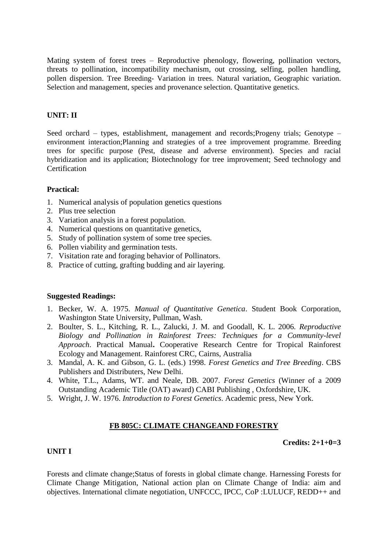Mating system of forest trees – Reproductive phenology, flowering, pollination vectors, threats to pollination, incompatibility mechanism, out crossing, selfing, pollen handling, pollen dispersion. Tree Breeding- Variation in trees. Natural variation, Geographic variation. Selection and management, species and provenance selection. Quantitative genetics.

## **UNIT: II**

Seed orchard – types, establishment, management and records;Progeny trials; Genotype – environment interaction;Planning and strategies of a tree improvement programme. Breeding trees for specific purpose (Pest, disease and adverse environment). Species and racial hybridization and its application; Biotechnology for tree improvement; Seed technology and **Certification** 

#### **Practical:**

- 1. Numerical analysis of population genetics questions
- 2. Plus tree selection
- 3. Variation analysis in a forest population.
- 4. Numerical questions on quantitative genetics,
- 5. Study of pollination system of some tree species.
- 6. Pollen viability and germination tests.
- 7. Visitation rate and foraging behavior of Pollinators.
- 8. Practice of cutting, grafting budding and air layering.

#### **Suggested Readings:**

- 1. Becker, W. A. 1975. *Manual of Quantitative Genetica*. Student Book Corporation, Washington State University, Pullman, Wash.
- 2. Boulter, S. L., Kitching, R. L., Zalucki, J. M. and Goodall, K. L. 2006. *Reproductive Biology and Pollination in Rainforest Trees: Techniques for a Community-level Approach*. Practical Manual**.** Cooperative Research Centre for Tropical Rainforest Ecology and Management. Rainforest CRC, Cairns, Australia
- 3. Mandal, A. K. and Gibson, G. L. (eds.) 1998. *Forest Genetics and Tree Breeding*. CBS Publishers and Distributers, New Delhi.
- 4. White, T.L., Adams, WT. and Neale, DB. 2007. *Forest Genetics* (Winner of a 2009 Outstanding Academic Title (OAT) award) CABI Publishing , Oxfordshire, UK.
- 5. Wright, J. W. 1976. *Introduction to Forest Genetics*. Academic press, New York.

#### **FB 805C: CLIMATE CHANGEAND FORESTRY**

#### **Credits: 2+1+0=3**

#### **UNIT I**

Forests and climate change;Status of forests in global climate change. Harnessing Forests for Climate Change Mitigation, National action plan on Climate Change of India: aim and objectives. International climate negotiation, UNFCCC, IPCC, CoP :LULUCF, REDD++ and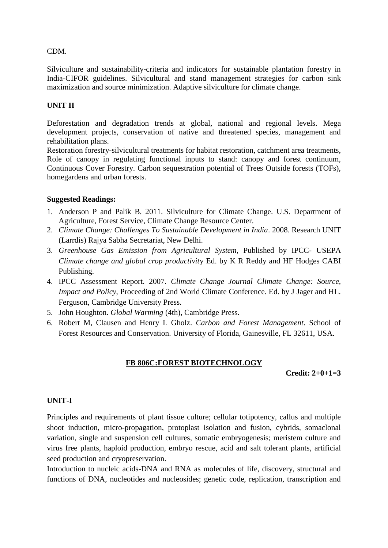#### CDM.

Silviculture and sustainability-criteria and indicators for sustainable plantation forestry in India-CIFOR guidelines. Silvicultural and stand management strategies for carbon sink maximization and source minimization. Adaptive silviculture for climate change.

## **UNIT II**

Deforestation and degradation trends at global, national and regional levels. Mega development projects, conservation of native and threatened species, management and rehabilitation plans.

Restoration forestry-silvicultural treatments for habitat restoration, catchment area treatments, Role of canopy in regulating functional inputs to stand: canopy and forest continuum, Continuous Cover Forestry. Carbon sequestration potential of Trees Outside forests (TOFs), homegardens and urban forests.

#### **Suggested Readings:**

- 1. Anderson P and Palik B. 2011. Silviculture for Climate Change. U.S. Department of Agriculture, Forest Service, Climate Change Resource Center.
- 2. *Climate Change: Challenges To Sustainable Development in India*. 2008. Research UNIT (Larrdis) Rajya Sabha Secretariat, New Delhi.
- 3. *Greenhouse Gas Emission from Agricultural System*, Published by IPCC- USEPA *Climate change and global crop productivit*y Ed. by K R Reddy and HF Hodges CABI Publishing.
- 4. IPCC Assessment Report. 2007. *Climate Change Journal Climate Change: Source, Impact and Policy*, Proceeding of 2nd World Climate Conference. Ed. by J Jager and HL. Ferguson, Cambridge University Press.
- 5. John Houghton. *Global Warming* (4th), Cambridge Press.
- 6. Robert M, Clausen and Henry L Gholz. *Carbon and Forest Management*. School of Forest Resources and Conservation. University of Florida, Gainesville, FL 32611, USA.

## **FB 806C:FOREST BIOTECHNOLOGY**

**Credit: 2+0+1=3**

#### **UNIT-I**

Principles and requirements of plant tissue culture; cellular totipotency, callus and multiple shoot induction, micro-propagation, protoplast isolation and fusion, cybrids, somaclonal variation, single and suspension cell cultures, somatic embryogenesis; meristem culture and virus free plants, haploid production, embryo rescue, acid and salt tolerant plants, artificial seed production and cryopreservation.

Introduction to nucleic acids-DNA and RNA as molecules of life, discovery, structural and functions of DNA, nucleotides and nucleosides; genetic code, replication, transcription and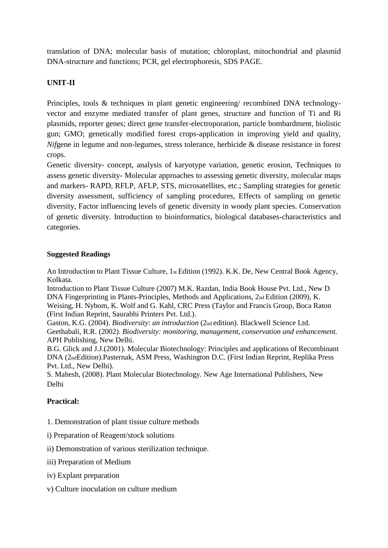translation of DNA; molecular basis of mutation; chloroplast, mitochondrial and plasmid DNA-structure and functions; PCR, gel electrophoresis, SDS PAGE.

# **UNIT-II**

Principles, tools & techniques in plant genetic engineering/ recombined DNA technologyvector and enzyme mediated transfer of plant genes, structure and function of Ti and Ri plasmids, reporter genes; direct gene transfer-electroporation, particle bombardment, biolistic gun; GMO; genetically modified forest crops-application in improving yield and quality, *Nif*gene in legume and non-legumes, stress tolerance, herbicide & disease resistance in forest crops.

Genetic diversity- concept, analysis of karyotype variation, genetic erosion, Techniques to assess genetic diversity- Molecular approaches to assessing genetic diversity, molecular maps and markers- RAPD, RFLP, AFLP, STS, microsatellites, etc.; Sampling strategies for genetic diversity assessment, sufficiency of sampling procedures, Effects of sampling on genetic diversity, Factor influencing levels of genetic diversity in woody plant species. Conservation of genetic diversity. Introduction to bioinformatics, biological databases-characteristics and categories.

#### **Suggested Readings**

An Introduction to Plant Tissue Culture, 1st Edition (1992). K.K. De, New Central Book Agency, Kolkata.

Introduction to Plant Tissue Culture (2007) M.K. Razdan, India Book House Pvt. Ltd., New D DNA Fingerprinting in Plants-Principles, Methods and Applications, 2nd Edition (2009), K. Weising, H. Nybom, K. Wolf and G. Kahl, CRC Press (Taylor and Francis Group, Boca Raton (First Indian Reprint, Saurabhi Printers Pvt. Ltd.).

Gaston, K.G. (2004). *Biodiversity*: *an introduction* (2nd edition). Blackwell Science Ltd. Geethabali, R.R. (2002). *Biodiversity: monitoring, management, conservation and enhancement.*  APH Publishing, New Delhi.

B.G. Glick and J.J.(2001). Molecular Biotechnology: Principles and applications of Recombinant DNA (2ndEdition).Pasternak, ASM Press, Washington D.C. (First Indian Reprint, Replika Press Pvt. Ltd., New Delhi).

S. Mahesh, (2008). Plant Molecular Biotechnology. New Age International Publishers, New Delhi

# **Practical:**

- 1. Demonstration of plant tissue culture methods
- i) Preparation of Reagent/stock solutions
- ii) Demonstration of various sterilization technique.
- iii) Preparation of Medium
- iv) Explant preparation
- v) Culture inoculation on culture medium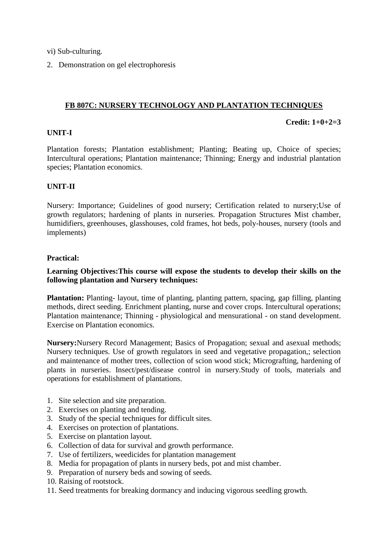- vi) Sub-culturing.
- 2. Demonstration on gel electrophoresis

#### **FB 807C: NURSERY TECHNOLOGY AND PLANTATION TECHNIQUES**

#### **Credit: 1+0+2=3**

#### **UNIT-I**

Plantation forests; Plantation establishment; Planting; Beating up, Choice of species; Intercultural operations; Plantation maintenance; Thinning; Energy and industrial plantation species; Plantation economics.

#### **UNIT-II**

Nursery: Importance; Guidelines of good nursery; Certification related to nursery;Use of growth regulators; hardening of plants in nurseries. Propagation Structures Mist chamber, humidifiers, greenhouses, glasshouses, cold frames, hot beds, poly-houses, nursery (tools and implements)

#### **Practical:**

#### **Learning Objectives:This course will expose the students to develop their skills on the following plantation and Nursery techniques:**

**Plantation:** Planting- layout, time of planting, planting pattern, spacing, gap filling, planting methods, direct seeding. Enrichment planting, nurse and cover crops. Intercultural operations; Plantation maintenance; Thinning - physiological and mensurational - on stand development. Exercise on Plantation economics.

**Nursery:**Nursery Record Management; Basics of Propagation; sexual and asexual methods; Nursery techniques. Use of growth regulators in seed and vegetative propagation,; selection and maintenance of mother trees, collection of scion wood stick; Micrografting, hardening of plants in nurseries. Insect/pest/disease control in nursery.Study of tools, materials and operations for establishment of plantations.

- 1. Site selection and site preparation.
- 2. Exercises on planting and tending.
- 3. Study of the special techniques for difficult sites.
- 4. Exercises on protection of plantations.
- 5. Exercise on plantation layout.
- 6. Collection of data for survival and growth performance.
- 7. Use of fertilizers, weedicides for plantation management
- 8. Media for propagation of plants in nursery beds, pot and mist chamber.
- 9. Preparation of nursery beds and sowing of seeds.
- 10. Raising of rootstock.
- 11. Seed treatments for breaking dormancy and inducing vigorous seedling growth.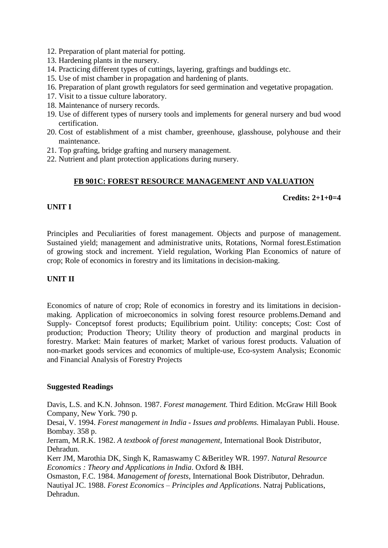- 12. Preparation of plant material for potting.
- 13. Hardening plants in the nursery.
- 14. Practicing different types of cuttings, layering, graftings and buddings etc.
- 15. Use of mist chamber in propagation and hardening of plants.
- 16. Preparation of plant growth regulators for seed germination and vegetative propagation.
- 17. Visit to a tissue culture laboratory.
- 18. Maintenance of nursery records.
- 19. Use of different types of nursery tools and implements for general nursery and bud wood certification.
- 20. Cost of establishment of a mist chamber, greenhouse, glasshouse, polyhouse and their maintenance.
- 21. Top grafting, bridge grafting and nursery management.
- 22. Nutrient and plant protection applications during nursery.

# **FB 901C: FOREST RESOURCE MANAGEMENT AND VALUATION**

#### **Credits: 2+1+0=4**

## **UNIT I**

Principles and Peculiarities of forest management. Objects and purpose of management. Sustained yield; management and administrative units, Rotations, Normal forest.Estimation of growing stock and increment. Yield regulation, Working Plan Economics of nature of crop; Role of economics in forestry and its limitations in decision-making.

## **UNIT II**

Economics of nature of crop; Role of economics in forestry and its limitations in decisionmaking. Application of microeconomics in solving forest resource problems.Demand and Supply- Conceptsof forest products; Equilibrium point. Utility: concepts; Cost: Cost of production; Production Theory; Utility theory of production and marginal products in forestry. Market: Main features of market; Market of various forest products. Valuation of non-market goods services and economics of multiple-use, Eco-system Analysis; Economic and Financial Analysis of Forestry Projects

#### **Suggested Readings**

Davis, L.S. and K.N. Johnson. 1987. *Forest management.* Third Edition. McGraw Hill Book Company, New York. 790 p.

Desai, V. 1994. *Forest management in India - Issues and problems.* Himalayan Publi. House. Bombay. 358 p.

Jerram, M.R.K. 1982. *A textbook of forest management,* International Book Distributor, Dehradun.

Kerr JM, Marothia DK, Singh K, Ramaswamy C &Beritley WR. 1997. *Natural Resource Economics : Theory and Applications in India*. Oxford & IBH.

Osmaston, F.C. 1984. *Management of forests,* International Book Distributor, Dehradun. Nautiyal JC. 1988. *Forest Economics – Principles and Applications*. Natraj Publications, Dehradun.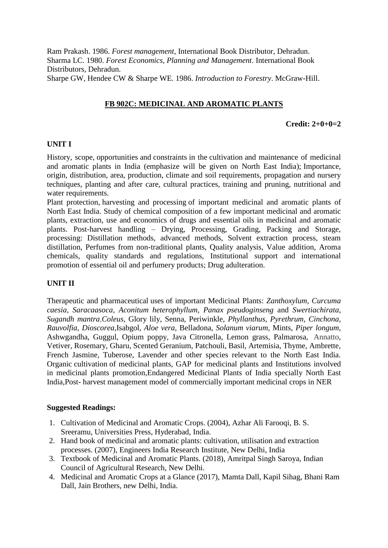Ram Prakash. 1986. *Forest management,* International Book Distributor, Dehradun. Sharma LC. 1980. *Forest Economics, Planning and Management*. International Book Distributors, Dehradun. Sharpe GW, Hendee CW & Sharpe WE. 1986. *Introduction to Forestry*. McGraw-Hill.

# **FB 902C: MEDICINAL AND AROMATIC PLANTS**

#### **Credit: 2+0+0=2**

#### **UNIT I**

History, scope, opportunities and constraints in the cultivation and maintenance of medicinal and aromatic plants in India (emphasize will be given on North East India); Importance, origin, distribution, area, production, climate and soil requirements, propagation and nursery techniques, planting and after care, cultural practices, training and pruning, nutritional and water requirements.

Plant protection, harvesting and processing of important medicinal and aromatic plants of North East India. Study of chemical composition of a few important medicinal and aromatic plants, extraction, use and economics of drugs and essential oils in medicinal and aromatic plants. Post-harvest handling – Drying, Processing, Grading, Packing and Storage, processing: Distillation methods, advanced methods, Solvent extraction process, steam distillation, Perfumes from non-traditional plants, Quality analysis, Value addition, Aroma chemicals, quality standards and regulations, Institutional support and international promotion of essential oil and perfumery products; Drug adulteration.

## **UNIT II**

Therapeutic and pharmaceutical uses of important Medicinal Plants: *Zanthoxylum, Curcuma caesia, Saracaasoca, Aconitum heterophyllum, Panax pseudoginseng* and *Swertiachirata*, *Sugandh mantra,Coleus*, Glory lily, Senna, Periwinkle, *Phyllanthus, Pyrethrum, Cinchona, Rauvolfia*, *Dioscorea,*Isabgol, *Aloe vera*, Belladona, *Solanum viarum*, Mints, *Piper longum*, Ashwgandha, Guggul, Opium poppy, Java Citronella, Lemon grass, Palmarosa, Annatto, Vetiver, Rosemary, Gharu, Scented Geranium, Patchouli, Basil, Artemisia, Thyme, Ambrette, French Jasmine, Tuberose, Lavender and other species relevant to the North East India. Organic cultivation of medicinal plants, GAP for medicinal plants and Institutions involved in medicinal plants promotion,Endangered Medicinal Plants of India specially North East India,Post- harvest management model of commercially important medicinal crops in NER

#### **Suggested Readings:**

- 1. Cultivation of Medicinal and Aromatic Crops. (2004), Azhar Ali Farooqi, B. S. Sreeramu, Universities Press, Hyderabad, India.
- 2. Hand book of medicinal and aromatic plants: cultivation, utilisation and extraction processes. (2007), Engineers India Research Institute, New Delhi, India
- 3. Textbook of Medicinal and Aromatic Plants. (2018), Amritpal Singh Saroya, Indian Council of Agricultural Research, New Delhi.
- 4. Medicinal and Aromatic Crops at a Glance (2017), Mamta Dall, Kapil Sihag, Bhani Ram Dall, Jain Brothers, new Delhi, India.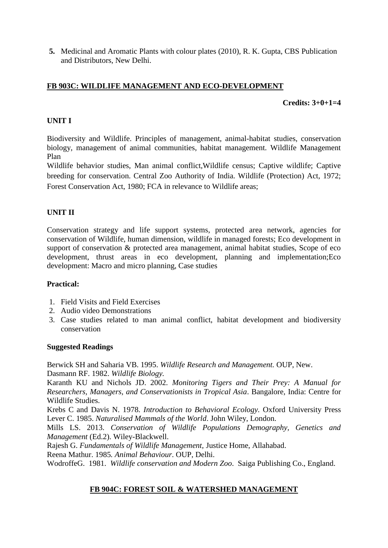**5.** Medicinal and Aromatic Plants with colour plates (2010), R. K. Gupta, CBS Publication and Distributors, New Delhi.

# **FB 903C: WILDLIFE MANAGEMENT AND ECO-DEVELOPMENT**

#### **Credits: 3+0+1=4**

#### **UNIT I**

Biodiversity and Wildlife. Principles of management, animal-habitat studies, conservation biology, management of animal communities, habitat management. Wildlife Management Plan

Wildlife behavior studies, Man animal conflict,Wildlife census; Captive wildlife; Captive breeding for conservation. Central Zoo Authority of India. Wildlife (Protection) Act, 1972; Forest Conservation Act, 1980; FCA in relevance to Wildlife areas;

## **UNIT II**

Conservation strategy and life support systems, protected area network, agencies for conservation of Wildlife, human dimension, wildlife in managed forests; Eco development in support of conservation & protected area management, animal habitat studies, Scope of eco development, thrust areas in eco development, planning and implementation;Eco development: Macro and micro planning, Case studies

#### **Practical:**

- 1. Field Visits and Field Exercises
- 2. Audio video Demonstrations
- 3. Case studies related to man animal conflict, habitat development and biodiversity conservation

#### **Suggested Readings**

Berwick SH and Saharia VB. 1995. *Wildlife Research and Management.* OUP, New. Dasmann RF. 1982. *Wildlife Biology.*

Karanth KU and Nichols JD. 2002. *Monitoring Tigers and Their Prey: A Manual for Researchers, Managers, and Conservationists in Tropical Asia*. Bangalore, India: Centre for Wildlife Studies.

Krebs C and Davis N. 1978. *Introduction to Behavioral Ecology.* Oxford University Press Lever C. 1985. *Naturalised Mammals of the World*. John Wiley, London.

Mills LS. 2013. *Conservation of Wildlife Populations Demography, Genetics and Management* (Ed.2). Wiley-Blackwell.

Rajesh G. *Fundamentals of Wildlife Management,* Justice Home, Allahabad.

Reena Mathur. 1985*. Animal Behaviour*. OUP, Delhi.

WodroffeG. 1981. *Wildlife conservation and Modern Zoo*. Saiga Publishing Co., England.

## **FB 904C: FOREST SOIL & WATERSHED MANAGEMENT**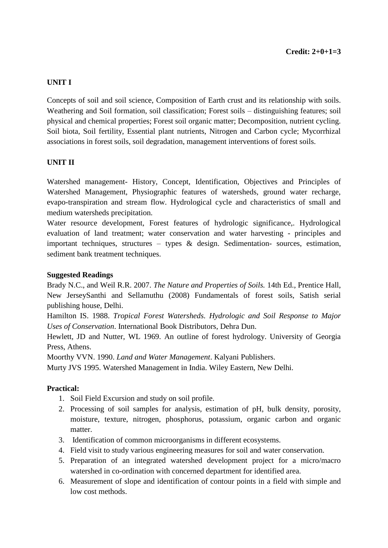# **UNIT I**

Concepts of soil and soil science, Composition of Earth crust and its relationship with soils. Weathering and Soil formation, soil classification; Forest soils – distinguishing features; soil physical and chemical properties; Forest soil organic matter; Decomposition, nutrient cycling. Soil biota, Soil fertility, Essential plant nutrients, Nitrogen and Carbon cycle; Mycorrhizal associations in forest soils, soil degradation, management interventions of forest soils.

## **UNIT II**

Watershed management- History, Concept, Identification, Objectives and Principles of Watershed Management, Physiographic features of watersheds, ground water recharge, evapo-transpiration and stream flow. Hydrological cycle and characteristics of small and medium watersheds precipitation.

Water resource development, Forest features of hydrologic significance,. Hydrological evaluation of land treatment; water conservation and water harvesting - principles and important techniques, structures – types & design. Sedimentation- sources, estimation, sediment bank treatment techniques.

#### **Suggested Readings**

Brady N.C., and Weil R.R. 2007. *The Nature and Properties of Soils.* 14th Ed., Prentice Hall, New JerseySanthi and Sellamuthu (2008) Fundamentals of forest soils, Satish serial publishing house, Delhi.

Hamilton IS. 1988. *Tropical Forest Watersheds. Hydrologic and Soil Response to Major Uses of Conservation*. International Book Distributors, Dehra Dun.

Hewlett, JD and Nutter, WL 1969. An outline of forest hydrology. University of Georgia Press, Athens.

Moorthy VVN. 1990. *Land and Water Management*. Kalyani Publishers.

Murty JVS 1995. Watershed Management in India. Wiley Eastern, New Delhi.

#### **Practical:**

- 1. Soil Field Excursion and study on soil profile.
- 2. Processing of soil samples for analysis, estimation of pH, bulk density, porosity, moisture, texture, nitrogen, phosphorus, potassium, organic carbon and organic matter.
- 3. Identification of common microorganisms in different ecosystems.
- 4. Field visit to study various engineering measures for soil and water conservation.
- 5. Preparation of an integrated watershed development project for a micro/macro watershed in co-ordination with concerned department for identified area.
- 6. Measurement of slope and identification of contour points in a field with simple and low cost methods.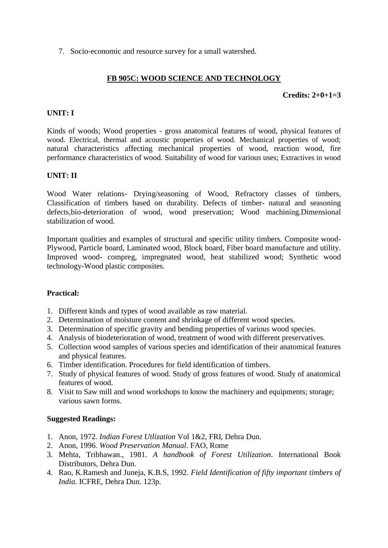7. Socio-economic and resource survey for a small watershed.

# **FB 905C: WOOD SCIENCE AND TECHNOLOGY**

## **Credits: 2+0+1=3**

#### **UNIT: I**

Kinds of woods; Wood properties - gross anatomical features of wood, physical features of wood. Electrical, thermal and acoustic properties of wood. Mechanical properties of wood; natural characteristics affecting mechanical properties of wood, reaction wood, fire performance characteristics of wood. Suitability of wood for various uses; Extractives in wood

## **UNIT: II**

Wood Water relations- Drying/seasoning of Wood, Refractory classes of timbers, Classification of timbers based on durability. Defects of timber- natural and seasoning defects,bio-deterioration of wood, wood preservation; Wood machining.Dimensional stabilization of wood.

Important qualities and examples of structural and specific utility timbers. Composite wood-Plywood, Particle board, Laminated wood, Block board, Fiber board manufacture and utility. Improved wood- compreg, impregnated wood, heat stabilized wood; Synthetic wood technology-Wood plastic composites.

#### **Practical:**

- 1. Different kinds and types of wood available as raw material.
- 2. Determination of moisture content and shrinkage of different wood species.
- 3. Determination of specific gravity and bending properties of various wood species.
- 4. Analysis of biodeterioration of wood, treatment of wood with different preservatives.
- 5. Collection wood samples of various species and identification of their anatomical features and physical features.
- 6. Timber identification. Procedures for field identification of timbers.
- 7. Study of physical features of wood. Study of gross features of wood. Study of anatomical features of wood.
- 8. Visit to Saw mill and wood workshops to know the machinery and equipments; storage; various sawn forms.

#### **Suggested Readings:**

- 1. Anon, 1972. *Indian Forest Utlization* Vol 1&2, FRI, Dehra Dun.
- 2. Anon, 1996. *Wood Preservation Manual*. FAO, Rome
- 3. Mehta, Tribhawan., 1981. *A handbook of Forest Utilization*. International Book Distributors, Dehra Dun.
- 4. Rao, K.Ramesh and Juneja, K.B.S, 1992. *Field Identification of fifty important timbers of India*. ICFRE, Dehra Dun. 123p.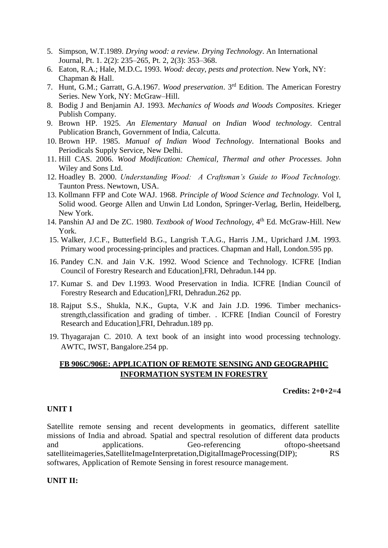- 5. Simpson, W.T.1989. *Drying wood: a review. Drying Technology*. An International Journal, Pt. 1. 2(2): 235–265, Pt. 2, 2(3): 353–368.
- 6. Eaton, R.A.; Hale, M.D.C**.** 1993. *Wood: decay, pests and protection*. New York, NY: Chapman & Hall.
- 7. Hunt, G.M.; Garratt, G.A.1967. *Wood preservation*. 3rd Edition. The American Forestry Series. New York, NY: McGraw–Hill.
- 8. Bodig J and Benjamin AJ. 1993. *Mechanics of Woods and Woods Composites.* Krieger Publish Company.
- 9. Brown HP. 1925. *An Elementary Manual on Indian Wood technology.* Central Publication Branch, Government of India, Calcutta.
- 10. Brown HP. 1985. *Manual of Indian Wood Technology*. International Books and Periodicals Supply Service, New Delhi.
- 11. Hill CAS. 2006. *Wood Modification: Chemical, Thermal and other Processes.* John Wiley and Sons Ltd.
- 12. Hoadley B. 2000. *Understanding Wood: A Craftsman's Guide to Wood Technology.*  Taunton Press. Newtown, USA.
- 13. Kollmann FFP and Cote WAJ. 1968. *Principle of Wood Science and Technology.* Vol I, Solid wood. George Allen and Unwin Ltd London, Springer-Verlag, Berlin, Heidelberg, New York.
- 14. Panshin AJ and De ZC. 1980. *Textbook of Wood Technology*, 4th Ed. McGraw-Hill. New York.
- 15. Walker, J.C.F., Butterfield B.G., Langrish T.A.G., Harris J.M., Uprichard J.M. 1993. Primary wood processing-principles and practices. Chapman and Hall, London.595 pp.
- 16. Pandey C.N. and Jain V.K. 1992. Wood Science and Technology. ICFRE [Indian Council of Forestry Research and Education],FRI, Dehradun.144 pp.
- 17. Kumar S. and Dev I.1993. Wood Preservation in India. ICFRE [Indian Council of Forestry Research and Education],FRI, Dehradun.262 pp.
- 18. Rajput S.S., Shukla, N.K., Gupta, V.K and Jain J.D. 1996. Timber mechanicsstrength,classification and grading of timber. . ICFRE [Indian Council of Forestry Research and Education],FRI, Dehradun.189 pp.
- 19. Thyagarajan C. 2010. A text book of an insight into wood processing technology. AWTC, IWST, Bangalore.254 pp.

## **FB 906C/906E: APPLICATION OF REMOTE SENSING AND GEOGRAPHIC INFORMATION SYSTEM IN FORESTRY**

**Credits: 2+0+2=4**

#### **UNIT I**

Satellite remote sensing and recent developments in geomatics, different satellite missions of India and abroad. Spatial and spectral resolution of different data products and applications. Geo-referencing oftopo-sheetsand satelliteimageries,SatelliteImageInterpretation,DigitalImageProcessing(DIP); RS softwares, Application of Remote Sensing in forest resource management.

#### **UNIT II:**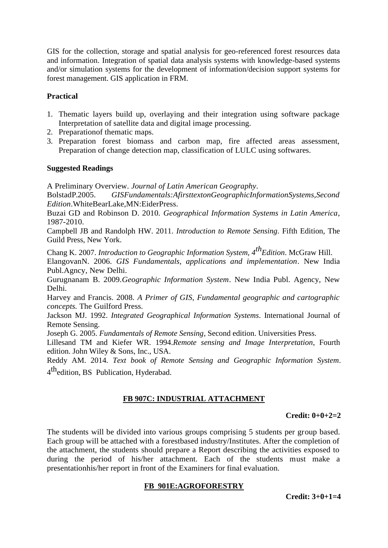GIS for the collection, storage and spatial analysis for geo-referenced forest resources data and information. Integration of spatial data analysis systems with knowledge-based systems and/or simulation systems for the development of information/decision support systems for forest management. GIS application in FRM.

# **Practical**

- 1. Thematic layers build up, overlaying and their integration using software package Interpretation of satellite data and digital image processing.
- 2. Preparationof thematic maps.
- 3. Preparation forest biomass and carbon map, fire affected areas assessment, Preparation of change detection map, classification of LULC using softwares.

## **Suggested Readings**

A Preliminary Overview. *Journal of Latin American Geography*.

BolstadP.2005. *GISFundamentals:AfirsttextonGeographicInformationSystems,Second Edition*.WhiteBearLake,MN:EiderPress.

Buzai GD and Robinson D. 2010. *Geographical Information Systems in Latin America*, 1987-2010.

Campbell JB and Randolph HW. 2011. *Introduction to Remote Sensing*. Fifth Edition, The Guild Press, New York.

Chang K. 2007. *Introduction to Geographic Information System, 4<sup>th</sup>Edition*. McGraw Hill.

ElangovanN. 2006. *GIS Fundamentals, applications and implementation*. New India Publ.Agncy, New Delhi.

Gurugnanam B. 2009.*Geographic Information System*. New India Publ. Agency, New Delhi.

Harvey and Francis. 2008. *A Primer of GIS, Fundamental geographic and cartographic concepts.* The Guilford Press.

Jackson MJ. 1992. *Integrated Geographical Information Systems*. International Journal of Remote Sensing.

Joseph G. 2005. *Fundamentals of Remote Sensing*, Second edition. Universities Press.

Lillesand TM and Kiefer WR. 1994.*Remote sensing and Image Interpretation*, Fourth edition. John Wiley & Sons, Inc., USA.

Reddy AM. 2014. *Text book of Remote Sensing and Geographic Information System*. 4<sup>th</sup>edition, BS Publication, Hyderabad.

# **FB 907C: INDUSTRIAL ATTACHMENT**

## **Credit: 0+0+2=2**

The students will be divided into various groups comprising 5 students per group based. Each group will be attached with a forestbased industry/Institutes. After the completion of the attachment, the students should prepare a Report describing the activities exposed to during the period of his/her attachment. Each of the students must make a presentationhis/her report in front of the Examiners for final evaluation.

## **FB 901E:AGROFORESTRY**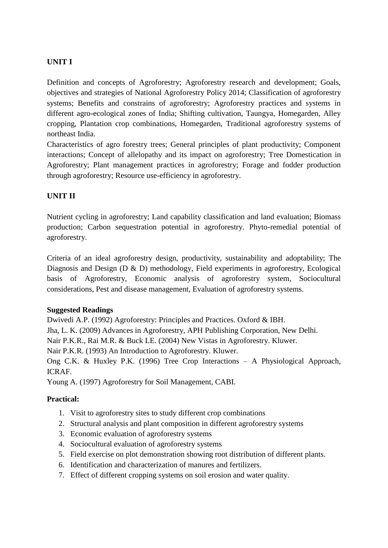# **UNIT I**

Definition and concepts of Agroforestry; Agroforestry research and development; Goals, objectives and strategies of National Agroforestry Policy 2014; Classification of agroforestry systems; Benefits and constrains of agroforestry; Agroforestry practices and systems in different agro-ecological zones of India; Shifting cultivation, Taungya, Homegarden, Alley cropping, Plantation crop combinations, Homegarden, Traditional agroforestry systems of northeast India.

Characteristics of agro forestry trees; General principles of plant productivity; Component interactions; Concept of allelopathy and its impact on agroforestry; Tree Domestication in Agroforestry; Plant management practices in agroforestry; Forage and fodder production through agroforestry; Resource use-efficiency in agroforestry.

# **UNIT II**

Nutrient cycling in agroforestry; Land capability classification and land evaluation; Biomass production; Carbon sequestration potential in agroforestry. Phyto-remedial potential of agroforestry.

Criteria of an ideal agroforestry design, productivity, sustainability and adoptability; The Diagnosis and Design (D & D) methodology, Field experiments in agroforestry, Ecological basis of Agroforestry, Economic analysis of agroforestry system, Sociocultural considerations, Pest and disease management, Evaluation of agroforestry systems.

## **Suggested Readings**

Dwivedi A.P. (1992) Agroforestry: Principles and Practices. Oxford & IBH.

Jha, L. K. (2009) Advances in Agroforestry, APH Publishing Corporation, New Delhi.

Nair P.K.R., Rai M.R. & Buck LE. (2004) New Vistas in Agroforestry. Kluwer.

Nair P.K.R. (1993) An Introduction to Agroforestry. Kluwer.

Ong C.K. & Huxley P.K. (1996) Tree Crop Interactions – A Physiological Approach, ICRAF.

Young A. (1997) Agroforestry for Soil Management, CABI.

## **Practical:**

- 1. Visit to agroforestry sites to study different crop combinations
- 2. Structural analysis and plant composition in different agroforestry systems
- 3. Economic evaluation of agroforestry systems
- 4. Sociocultural evaluation of agroforestry systems
- 5. Field exercise on plot demonstration showing root distribution of different plants.
- 6. Identification and characterization of manures and fertilizers.
- 7. Effect of different cropping systems on soil erosion and water quality.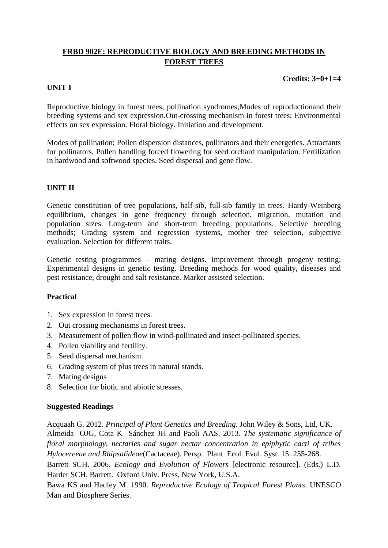# **FRBD 902E: REPRODUCTIVE BIOLOGY AND BREEDING METHODS IN FOREST TREES**

**Credits: 3+0+1=4**

#### **UNIT I**

Reproductive biology in forest trees; pollination syndromes; Modes of reproductionand their breeding systems and sex expression.Out-crossing mechanism in forest trees; Environmental effects on sex expression. Floral biology. Initiation and development.

Modes of pollination; Pollen dispersion distances, pollinators and their energetics. Attractants for pollinators. Pollen handling forced flowering for seed orchard manipulation. Fertilization in hardwood and softwood species. Seed dispersal and gene flow.

#### **UNIT II**

Genetic constitution of tree populations, half-sib, full-sib family in trees. Hardy-Weinberg equilibrium, changes in gene frequency through selection, migration, mutation and population sizes. Long-term and short-term breeding populations. Selective breeding methods; Grading system and regression systems, mother tree selection, subjective evaluation. Selection for different traits.

Genetic testing programmes – mating designs. Improvement through progeny testing; Experimental designs in genetic testing. Breeding methods for wood quality, diseases and pest resistance, drought and salt resistance. Marker assisted selection.

#### **Practical**

- 1. Sex expression in forest trees.
- 2. Out crossing mechanisms in forest trees.
- 3. Measurement of pollen flow in wind-pollinated and insect-pollinated species.
- 4. Pollen viability and fertility.
- 5. Seed dispersal mechanism.
- 6. Grading system of plus trees in natural stands.
- 7. Mating designs
- 8. Selection for biotic and abiotic stresses.

#### **Suggested Readings**

Acquaah G. 2012. *Principal of Plant Genetics and Breeding*. John Wiley & Sons, Ltd, UK. Almeida OJG, Cota K Sánchez JH and Paoli AAS. 2013. *The systematic significance of floral morphology, nectaries and sugar nectar concentration in epiphytic cacti of tribes Hylocereeae and Rhipsalideae*(Cactaceae). Persp. Plant Ecol. Evol. Syst. 15: 255-268. Barrett SCH. 2006. *Ecology and Evolution of Flowers* [electronic resource]. (Eds.) L.D. Harder SCH. Barrett. Oxford Univ. Press, New York, U.S.A. Bawa KS and Hadley M. 1990. *Reproductive Ecology of Tropical Forest Plants*. UNESCO Man and Biosphere Series.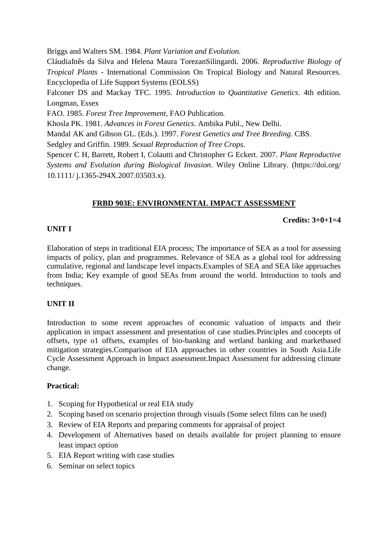Briggs and Walters SM. 1984. *Plant Variation and Evolution.*

CláudiaInês da Silva and Helena Maura TorezanSilingardi. 2006. *Reproductive Biology of Tropical Plants -* International Commission On Tropical Biology and Natural Resources. Encyclopedia of Life Support Systems (EOLSS)

Falconer DS and Mackay TFC. 1995. *Introduction to Quantitative Genetics*. 4th edition. Longman, Essex

FAO. 1985. *Forest Tree Improvement,* FAO Publication*.*

Khosla PK. 1981. *Advances in Forest Genetics*. Ambika Publ., New Delhi.

Mandal AK and Gibson GL. (Eds.). 1997. *Forest Genetics and Tree Breeding*. CBS.

Sedgley and Griffin. 1989. *Sexual Reproduction of Tree Crops*.

Spencer C H, Barrett, Robert I, Colautti and Christopher G Eckert. 2007. *Plant Reproductive Systems and Evolution during Biological Invasion*. Wiley Online Library. (https://doi.org/ 10.1111/ j.1365-294X.2007.03503.x).

# **FRBD 903E: ENVIRONMENTAL IMPACT ASSESSMENT**

## **Credits: 3+0+1=4**

# **UNIT I**

Elaboration of steps in traditional EIA process; The importance of SEA as a tool for assessing impacts of policy, plan and programmes. Relevance of SEA as a global tool for addressing cumulative, regional and landscape level impacts.Examples of SEA and SEA like approaches from India; Key example of good SEAs from around the world. Introduction to tools and techniques.

# **UNIT II**

Introduction to some recent approaches of economic valuation of impacts and their application in impact assessment and presentation of case studies.Principles and concepts of offsets, type o1 offsets, examples of bio-banking and wetland banking and marketbased mitigation strategies.Comparison of EIA approaches in other countries in South Asia.Life Cycle Assessment Approach in Impact assessment.Impact Assessment for addressing climate change.

## **Practical:**

- 1. Scoping for Hypothetical or real EIA study
- 2. Scoping based on scenario projection through visuals (Some select films can he used)
- 3. Review of EIA Reports and preparing comments for appraisal of project
- 4. Development of Alternatives based on details available for project planning to ensure least impact option
- 5. EIA Report writing with case studies
- 6. Seminar on select topics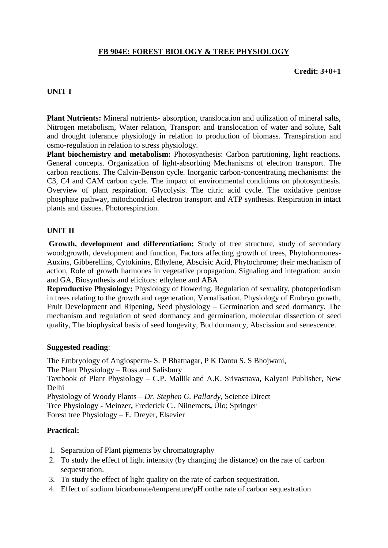# **FB 904E: FOREST BIOLOGY & TREE PHYSIOLOGY**

**Credit: 3+0+1**

#### **UNIT I**

**Plant Nutrients:** Mineral nutrients- absorption, translocation and utilization of mineral salts, Nitrogen metabolism, Water relation, Transport and translocation of water and solute, Salt and drought tolerance physiology in relation to production of biomass. Transpiration and osmo-regulation in relation to stress physiology.

**Plant biochemistry and metabolism:** Photosynthesis: Carbon partitioning, light reactions. General concepts. Organization of light-absorbing Mechanisms of electron transport. The carbon reactions. The Calvin-Benson cycle. Inorganic carbon-concentrating mechanisms: the C3, C4 and CAM carbon cycle. The impact of environmental conditions on photosynthesis. Overview of plant respiration. Glycolysis. The citric acid cycle. The oxidative pentose phosphate pathway, mitochondrial electron transport and ATP synthesis. Respiration in intact plants and tissues. Photorespiration.

#### **UNIT II**

**Growth, development and differentiation:** Study of tree structure, study of secondary wood;growth, development and function, Factors affecting growth of trees, Phytohormones-Auxins, Gibberellins, Cytokinins, Ethylene, Abscisic Acid, Phytochrome; their mechanism of action, Role of growth harmones in vegetative propagation. Signaling and integration: auxin and GA, Biosynthesis and elicitors: ethylene and ABA

**Reproductive Physiology:** Physiology of flowering, Regulation of sexuality, photoperiodism in trees relating to the growth and regeneration, Vernalisation, Physiology of Embryo growth, Fruit Development and Ripening, Seed physiology – Germination and seed dormancy, The mechanism and regulation of seed dormancy and germination, molecular dissection of seed quality, The biophysical basis of seed longevity, Bud dormancy, Abscission and senescence.

#### **Suggested reading**:

The Embryology of Angiosperm- S. P Bhatnagar, P K Dantu S. S Bhojwani, The Plant Physiology – Ross and Salisbury Taxtbook of Plant Physiology – C.P. Mallik and A.K. Srivasttava, Kalyani Publisher, New Delhi Physiology of Woody Plants – *Dr. Stephen G. Pallardy,* Science Direct Tree Physiology - Meinzer**,** Frederick C., Niinemets**,** Ülo; Springer Forest tree Physiology – E. Dreyer, Elsevier

#### **Practical:**

- 1. Separation of Plant pigments by chromatography
- 2. To study the effect of light intensity (by changing the distance) on the rate of carbon sequestration.
- 3. To study the effect of light quality on the rate of carbon sequestration.
- 4. Effect of sodium bicarbonate/temperature/pH onthe rate of carbon sequestration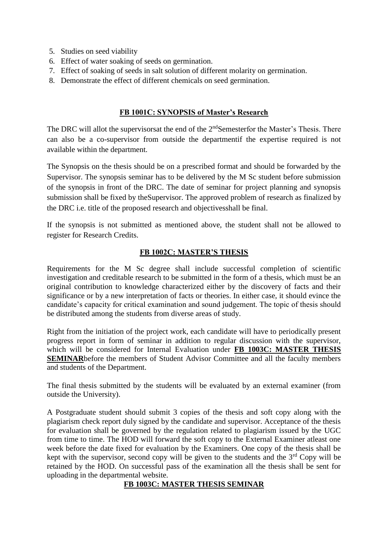- 5. Studies on seed viability
- 6. Effect of water soaking of seeds on germination.
- 7. Effect of soaking of seeds in salt solution of different molarity on germination.
- 8. Demonstrate the effect of different chemicals on seed germination.

#### **FB 1001C: SYNOPSIS of Master's Research**

The DRC will allot the supervisorsat the end of the 2<sup>nd</sup>Semesterfor the Master's Thesis. There can also be a co-supervisor from outside the departmentif the expertise required is not available within the department.

The Synopsis on the thesis should be on a prescribed format and should be forwarded by the Supervisor. The synopsis seminar has to be delivered by the M Sc student before submission of the synopsis in front of the DRC. The date of seminar for project planning and synopsis submission shall be fixed by theSupervisor. The approved problem of research as finalized by the DRC i.e. title of the proposed research and objectivesshall be final.

If the synopsis is not submitted as mentioned above, the student shall not be allowed to register for Research Credits.

#### **FB 1002C: MASTER'S THESIS**

Requirements for the M Sc degree shall include successful completion of scientific investigation and creditable research to be submitted in the form of a thesis, which must be an original contribution to knowledge characterized either by the discovery of facts and their significance or by a new interpretation of facts or theories. In either case, it should evince the candidate's capacity for critical examination and sound judgement. The topic of thesis should be distributed among the students from diverse areas of study.

Right from the initiation of the project work, each candidate will have to periodically present progress report in form of seminar in addition to regular discussion with the supervisor, which will be considered for Internal Evaluation under **FB 1003C: MASTER THESIS SEMINAR**before the members of Student Advisor Committee and all the faculty members and students of the Department.

The final thesis submitted by the students will be evaluated by an external examiner (from outside the University).

A Postgraduate student should submit 3 copies of the thesis and soft copy along with the plagiarism check report duly signed by the candidate and supervisor. Acceptance of the thesis for evaluation shall be governed by the regulation related to plagiarism issued by the UGC from time to time. The HOD will forward the soft copy to the External Examiner atleast one week before the date fixed for evaluation by the Examiners. One copy of the thesis shall be kept with the supervisor, second copy will be given to the students and the  $3<sup>rd</sup>$  Copy will be retained by the HOD. On successful pass of the examination all the thesis shall be sent for uploading in the departmental website.

## **FB 1003C: MASTER THESIS SEMINAR**